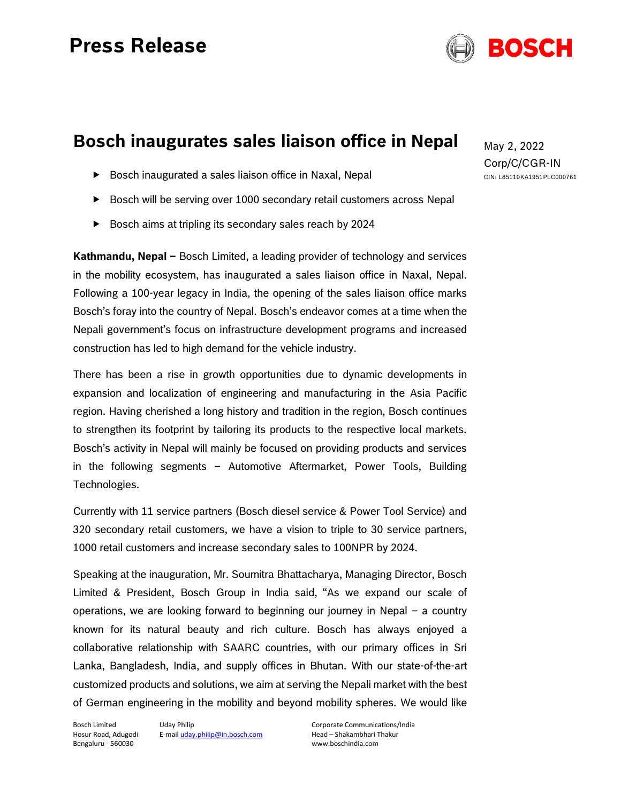## **Press Release**



### **Bosch inaugurates sales liaison office in Nepal**

- ▶ Bosch inaugurated a sales liaison office in Naxal, Nepal
- ▶ Bosch will be serving over 1000 secondary retail customers across Nepal
- Bosch aims at tripling its secondary sales reach by 2024

**Kathmandu, Nepal –** Bosch Limited, a leading provider of technology and services in the mobility ecosystem, has inaugurated a sales liaison office in Naxal, Nepal. Following a 100-year legacy in India, the opening of the sales liaison office marks Bosch's foray into the country of Nepal. Bosch's endeavor comes at a time when the Nepali government's focus on infrastructure development programs and increased construction has led to high demand for the vehicle industry.

There has been a rise in growth opportunities due to dynamic developments in expansion and localization of engineering and manufacturing in the Asia Pacific region. Having cherished a long history and tradition in the region, Bosch continues to strengthen its footprint by tailoring its products to the respective local markets. Bosch's activity in Nepal will mainly be focused on providing products and services in the following segments – Automotive Aftermarket, Power Tools, Building Technologies.

Currently with 11 service partners (Bosch diesel service & Power Tool Service) and 320 secondary retail customers, we have a vision to triple to 30 service partners, 1000 retail customers and increase secondary sales to 100NPR by 2024.

Speaking at the inauguration, Mr. Soumitra Bhattacharya, Managing Director, Bosch Limited & President, Bosch Group in India said, "As we expand our scale of operations, we are looking forward to beginning our journey in Nepal – a country known for its natural beauty and rich culture. Bosch has always enjoyed a collaborative relationship with SAARC countries, with our primary offices in Sri Lanka, Bangladesh, India, and supply offices in Bhutan. With our state-of-the-art customized products and solutions, we aim at serving the Nepali market with the best of German engineering in the mobility and beyond mobility spheres. We would like

Bosch Limited Hosur Road, Adugodi Bengaluru - 560030

Uday Philip E-mail uday.philip@in.bosch.com Corporate Communications/India Head – Shakambhari Thakur www.boschindia.com

May 2, 2022 Corp/C/CGR-IN CIN: L85110KA1951PLC000761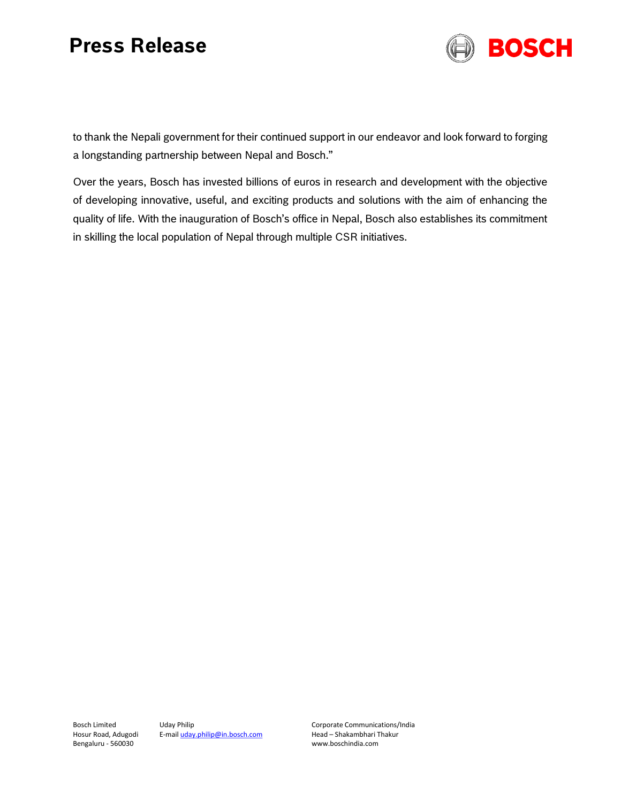# **Press Release**



to thank the Nepali government for their continued support in our endeavor and look forward to forging a longstanding partnership between Nepal and Bosch."

Over the years, Bosch has invested billions of euros in research and development with the objective of developing innovative, useful, and exciting products and solutions with the aim of enhancing the quality of life. With the inauguration of Bosch's office in Nepal, Bosch also establishes its commitment in skilling the local population of Nepal through multiple CSR initiatives.

Bosch Limited Hosur Road, Adugodi Bengaluru - 560030

Uday Philip E-mail uday.philip@in.bosch.com Corporate Communications/India Head – Shakambhari Thakur www.boschindia.com